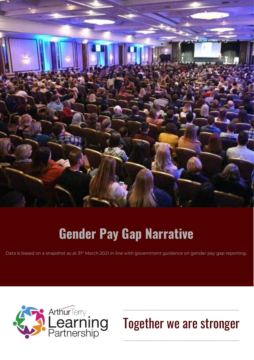

## Gender Pay Gap Narrative

Data is based on a snapshot as at 31<sup>st</sup> March 2021 in line with government guidance on gender pay gap reporting.



Together we are stronger

………………………………………………………………………………..

………………………………………………………………………………..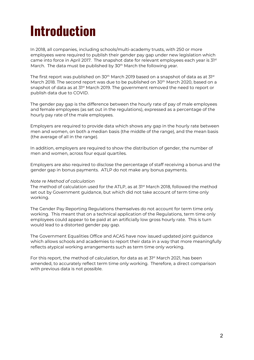# Introduction

In 2018, all companies, including schools/multi-academy trusts, with 250 or more employees were required to publish their gender pay gap under new legislation which came into force in April 2017. The snapshot date for relevant employees each year is 31st March. The data must be published by 30<sup>th</sup> March the following year.

The first report was published on 30<sup>th</sup> March 2019 based on a snapshot of data as at 31<sup>st</sup> March 2018. The second report was due to be published on 30<sup>th</sup> March 2020, based on a snapshot of data as at 3<sup>1st</sup> March 2019. The government removed the need to report or publish data due to COVID.

The gender pay gap is the difference between the hourly rate of pay of male employees and female employees (as set out in the regulations), expressed as a percentage of the hourly pay rate of the male employees.

Employers are required to provide data which shows any gap in the hourly rate between men and women, on both a median basis (the middle of the range), and the mean basis (the average of all in the range).

In addition, employers are required to show the distribution of gender, the number of men and women, across four equal quartiles.

Employers are also required to disclose the percentage of staff receiving a bonus and the gender gap in bonus payments. ATLP do not make any bonus payments.

#### Note re Method of calculation

The method of calculation used for the ATLP, as at  $31<sup>st</sup>$  March 2018, followed the method set out by Government guidance, but which did not take account of term time only working.

The Gender Pay Reporting Regulations themselves do not account for term time only working. This meant that on a technical application of the Regulations, term time only employees could appear to be paid at an artificially low gross hourly rate. This is turn would lead to a distorted gender pay gap.

The Government Equalities Office and ACAS have now issued updated joint guidance which allows schools and academies to report their data in a way that more meaningfully reflects atypical working arrangements such as term time only working.

For this report, the method of calculation, for data as at  $31^{st}$  March 2021, has been amended, to accurately reflect term time only working. Therefore, a direct comparison with previous data is not possible.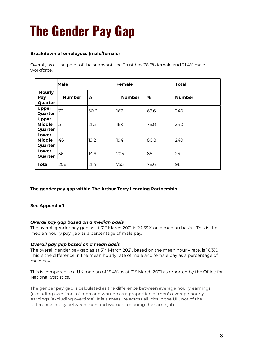# The Gender Pay Gap

#### Breakdown of employees (male/female)

Overall, as at the point of the snapshot, the Trust has 78.6% female and 21.4% male workforce.

|                                          | Male               |      | <b>Female</b> |      | <b>Total</b>  |  |
|------------------------------------------|--------------------|------|---------------|------|---------------|--|
| <b>Hourly</b><br>Pay<br>Quarter          | <b>Number</b><br>% |      | <b>Number</b> | %    | <b>Number</b> |  |
| <b>Upper</b><br>Quarter                  | 73                 | 30.6 | 167           | 69.6 | 240           |  |
| <b>Upper</b><br><b>Middle</b><br>Quarter | 51                 | 21.3 | 189           | 78.8 | 240           |  |
| Lower<br><b>Middle</b><br>Quarter        | 46                 | 19.2 | 194           | 80.8 | 240           |  |
| Lower<br>Quarter                         | 36                 | 14.9 | 205           | 85.1 | 241           |  |
| <b>Total</b>                             | 206                | 21.4 | 755           | 78.6 | 961           |  |

#### The gender pay gap within The Arthur Terry Learning Partnership

#### See Appendix 1

#### Overall pay gap based on a median basis

The overall gender pay gap as at 31<sup>st</sup> March 2021 is 24.59% on a median basis. This is the median hourly pay gap as a percentage of male pay.

#### Overall pay gap based on a mean basis

The overall gender pay gap as at 31<sup>st</sup> March 2021, based on the mean hourly rate, is 16.3%. This is the difference in the mean hourly rate of male and female pay as a percentage of male pay.

This is compared to a UK median of 15.4% as at 31<sup>st</sup> March 2021 as reported by the Office for National Statistics.

The gender pay gap is calculated as the difference between average hourly earnings (excluding overtime) of men and women as a proportion of men's average hourly earnings (excluding overtime). It is a measure across all jobs in the UK, not of the difference in pay between men and women for doing the same job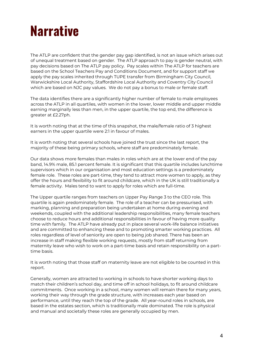### **Narrative**

The ATLP are confident that the gender pay gap identified, is not an issue which arises out of unequal treatment based on gender. The ATLP approach to pay is gender neutral, with pay decisions based on The ATLP pay policy. Pay scales within The ATLP for teachers are based on the School Teachers Pay and Conditions Document, and for support staff we apply the pay scales inherited through TUPE transfer from Birmingham City Council, Warwickshire Local Authority, Staffordshire Local Authority and Coventry City Council which are based on NJC pay values. We do not pay a bonus to male or female staff.

The data identifies there are a significantly higher number of female to male employees across the ATLP in all quartiles, with women in the lower, lower middle and upper middle earning marginally less than men, in the upper quartile, the top end, the difference is greater at £2.27ph.

It is worth noting that at the time of this snapshot, the male/female ratio of 3 highest earners in the upper quartile were 2:1 in favour of males.

It is worth noting that several schools have joined the trust since the last report, the majority of these being primary schools, where staff are predominately female.

Our data shows more females than males in roles which are at the lower end of the pay band, 14.9% male, 85.1 percent female. It is significant that this quartile includes lunchtime supervisors which in our organisation and most education settings is a predominately female role. These roles are part-time, they tend to attract more women to apply, as they offer the hours and flexibility to fit around childcare, which in the UK is still traditionally a female activity. Males tend to want to apply for roles which are full-time.

The Upper quartile ranges from teachers on Upper Pay Range 3 to the CEO role. This quartile is again predominately female. The role of a teacher can be pressurised, with marking, planning and preparation being undertaken at home during evening and weekends, coupled with the additional leadership responsibilities, many female teachers choose to reduce hours and additional responsibilities in favour of having more quality time with family. The ATLP have already put in place several work-life balance initiatives and are committed to enhancing these and to promoting smarter working practices. All roles regardless of level of seniority are open to being job shared. There has been an increase in staff making flexible working requests, mostly from staff returning from maternity leave who wish to work on a part-time basis and retain responsibility on a parttime basis.

It is worth noting that those staff on maternity leave are not eligible to be counted in this report.

Generally, women are attracted to working in schools to have shorter working days to match their children's school day, and time off in school holidays, to fit around childcare commitments. Once working in a school, many women will remain there for many years, working their way through the grade structure, with increases each year based on performance, until they reach the top of the grade. All year-round roles in schools, are based in the estates section, which is traditionally male dominated. The role is physical and manual and societally these roles are generally occupied by men.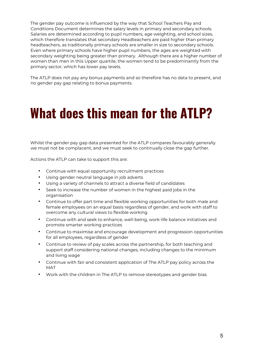The gender pay outcome is influenced by the way that School Teachers Pay and Conditions Document determines the salary levels in primary and secondary schools. Salaries are determined according to pupil numbers, age weighting, and school sizes, which therefore translates that secondary Headteachers are paid higher than primary headteachers, as traditionally primary schools are smaller in size to secondary schools. Even where primary schools have higher pupil numbers, the ages are weighted with secondary weighting being greater than primary. Although there are a higher number of women than men in this Upper quartile, the women tend to be predominantly from the primary sector, which has lower pay levels.

The ATLP does not pay any bonus payments and so therefore has no data to present, and no gender pay gap relating to bonus payments.

### What does this mean for the ATLP?

Whilst the gender pay gap data presented for the ATLP compares favourably generally we must not be complacent, and we must seek to continually close the gap further.

Actions the ATLP can take to support this are:

- Continue with equal opportunity recruitment practices
- Using gender neutral language in job adverts
- Using a variety of channels to attract a diverse field of candidates
- Seek to increase the number of women in the highest paid jobs in the organisation
- Continue to offer part time and flexible working opportunities for both male and female employees on an equal basis regardless of gender, and work with staff to overcome any cultural views to flexible working
- Continue with and seek to enhance, well-being, work-life balance initiatives and promote smarter working practices
- Continue to maximise and encourage development and progression opportunities for all employees, regardless of gender
- Continue to review of pay scales across the partnership, for both teaching and support staff considering national changes, including changes to the minimum and living wage
- Continue with fair and consistent application of The ATLP pay policy across the MAT
- Work with the children in The ATLP to remove stereotypes and gender bias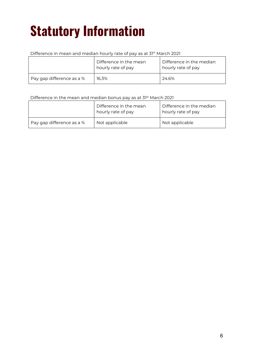# Statutory Information

#### Difference in mean and median hourly rate of pay as at 31st March 2021

|                           | Difference in the mean<br>hourly rate of pay | Difference in the median<br>hourly rate of pay |  |  |
|---------------------------|----------------------------------------------|------------------------------------------------|--|--|
| Pay gap difference as a % | 16.3%                                        | 24.6%                                          |  |  |

#### Difference in the mean and median bonus pay as at 31<sup>st</sup> March 2021

|                           | Difference in the mean<br>hourly rate of pay | Difference in the median<br>hourly rate of pay |
|---------------------------|----------------------------------------------|------------------------------------------------|
| Pay gap difference as a % | Not applicable                               | Not applicable                                 |